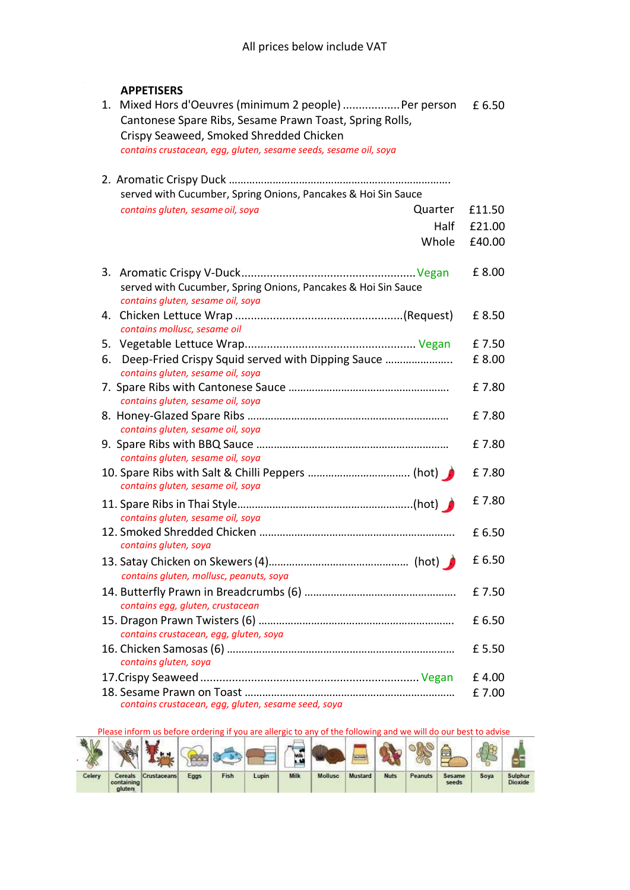## **APPETISERS**

| 1. Mixed Hors d'Oeuvres (minimum 2 people)  Per person<br>Cantonese Spare Ribs, Sesame Prawn Toast, Spring Rolls,<br>Crispy Seaweed, Smoked Shredded Chicken<br>contains crustacean, egg, gluten, sesame seeds, sesame oil, soya | £6.50  |
|----------------------------------------------------------------------------------------------------------------------------------------------------------------------------------------------------------------------------------|--------|
| served with Cucumber, Spring Onions, Pancakes & Hoi Sin Sauce                                                                                                                                                                    |        |
| contains gluten, sesame oil, soya<br>Quarter                                                                                                                                                                                     | £11.50 |
| Half                                                                                                                                                                                                                             | £21.00 |
| Whole                                                                                                                                                                                                                            | £40.00 |
| served with Cucumber, Spring Onions, Pancakes & Hoi Sin Sauce<br>contains gluten, sesame oil, soya                                                                                                                               | £8.00  |
| contains mollusc, sesame oil                                                                                                                                                                                                     | £8.50  |
|                                                                                                                                                                                                                                  | £7.50  |
| Deep-Fried Crispy Squid served with Dipping Sauce<br>6.<br>contains gluten, sesame oil, soya                                                                                                                                     | £8.00  |
| contains gluten, sesame oil, soya                                                                                                                                                                                                | £7.80  |
| contains gluten, sesame oil, soya                                                                                                                                                                                                | £7.80  |
|                                                                                                                                                                                                                                  | £7.80  |
| contains gluten, sesame oil, soya<br>contains gluten, sesame oil, soya                                                                                                                                                           | £7.80  |
| contains gluten, sesame oil, soya                                                                                                                                                                                                | £7.80  |
| contains gluten, soya                                                                                                                                                                                                            | £6.50  |
| contains gluten, mollusc, peanuts, soya                                                                                                                                                                                          | £6.50  |
| contains egg, gluten, crustacean                                                                                                                                                                                                 | £7.50  |
| contains crustacean, egg, gluten, soya                                                                                                                                                                                           | £6.50  |
| contains gluten, soya                                                                                                                                                                                                            | £ 5.50 |
|                                                                                                                                                                                                                                  | £4.00  |
| contains crustacean, egg, gluten, sesame seed, soya                                                                                                                                                                              | £7.00  |

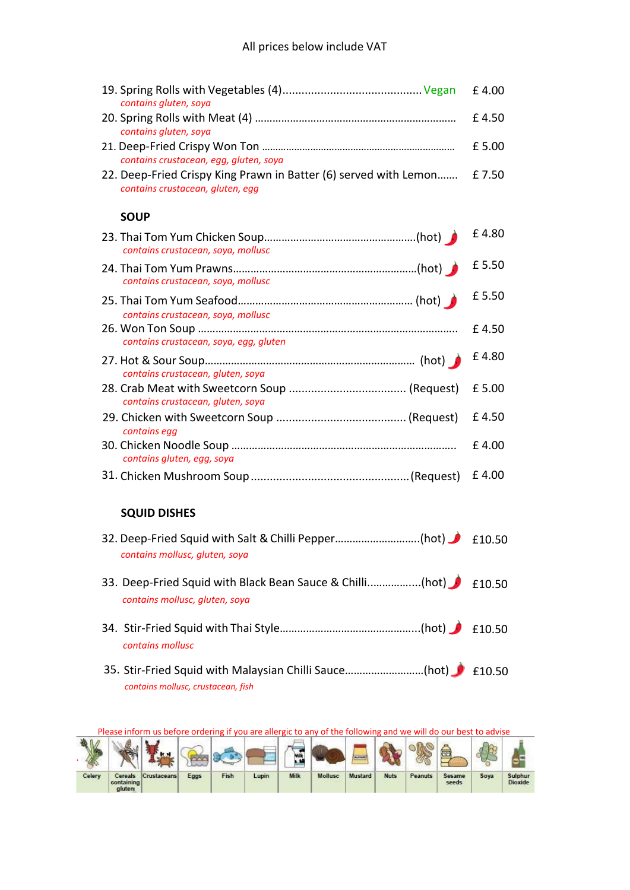| contains gluten, soya                                                                                | £4.00  |
|------------------------------------------------------------------------------------------------------|--------|
| contains gluten, soya                                                                                | £4.50  |
| contains crustacean, egg, gluten, soya                                                               | £ 5.00 |
| 22. Deep-Fried Crispy King Prawn in Batter (6) served with Lemon<br>contains crustacean, gluten, egg | £7.50  |
| <b>SOUP</b>                                                                                          |        |
| contains crustacean, soya, mollusc                                                                   | £4.80  |
| contains crustacean, soya, mollusc                                                                   | £5.50  |
| contains crustacean, soya, mollusc                                                                   | £5.50  |
| contains crustacean, soya, egg, gluten                                                               | £4.50  |
| contains crustacean, gluten, soya                                                                    | £4.80  |
| contains crustacean, gluten, soya                                                                    | £5.00  |
| contains egg                                                                                         | £4.50  |
| contains gluten, egg, soya                                                                           | £4.00  |
|                                                                                                      | £4.00  |
| <b>SQUID DISHES</b>                                                                                  |        |
| contains mollusc, gluten, soya                                                                       | £10.50 |
| 33. Deep-Fried Squid with Black Bean Sauce & Chilli(hot) 1 £10.50<br>contains mollusc, gluten, soya  |        |
| contains mollusc                                                                                     |        |
| 35. Stir-Fried Squid with Malaysian Chilli Sauce(hot) 1 £10.50<br>contains mollusc, crustacean, fish |        |

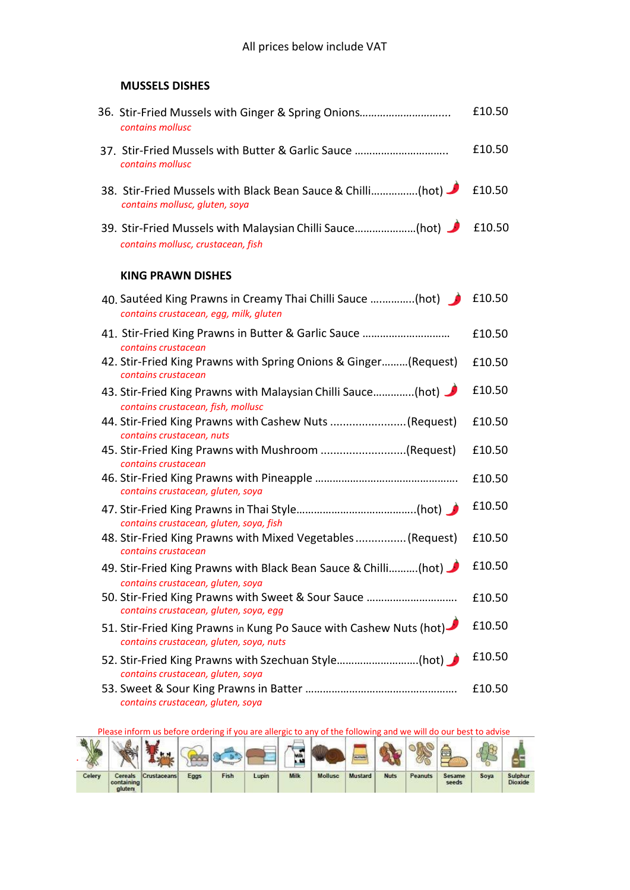## **MUSSELS DISHES**

| 36. Stir-Fried Mussels with Ginger & Spring Onions<br>contains mollusc                                        | £10.50 |
|---------------------------------------------------------------------------------------------------------------|--------|
| 37. Stir-Fried Mussels with Butter & Garlic Sauce<br>contains mollusc                                         | £10.50 |
| 38. Stir-Fried Mussels with Black Bean Sauce & Chilli(hot)<br>contains mollusc, gluten, soya                  | £10.50 |
| 39. Stir-Fried Mussels with Malaysian Chilli Sauce(hot) 1 f10.50<br>contains mollusc, crustacean, fish        |        |
| <b>KING PRAWN DISHES</b>                                                                                      |        |
| 40. Sautéed King Prawns in Creamy Thai Chilli Sauce (hot)<br>contains crustacean, egg, milk, gluten           | £10.50 |
| 41. Stir-Fried King Prawns in Butter & Garlic Sauce<br>contains crustacean                                    | £10.50 |
| 42. Stir-Fried King Prawns with Spring Onions & Ginger (Request)<br>contains crustacean                       | £10.50 |
| 43. Stir-Fried King Prawns with Malaysian Chilli Sauce(hot)<br>contains crustacean, fish, mollusc             | £10.50 |
| 44. Stir-Fried King Prawns with Cashew Nuts (Request)<br>contains crustacean, nuts                            | £10.50 |
| 45. Stir-Fried King Prawns with Mushroom (Request)<br>contains crustacean                                     | £10.50 |
| contains crustacean, gluten, soya                                                                             | £10.50 |
| contains crustacean, gluten, soya, fish                                                                       | £10.50 |
| 48. Stir-Fried King Prawns with Mixed Vegetables (Request)<br>contains crustacean                             | £10.50 |
| 49. Stir-Fried King Prawns with Black Bean Sauce & Chilli(hot)<br>contains crustacean, gluten, soya           | £10.50 |
| 50. Stir-Fried King Prawns with Sweet & Sour Sauce<br>contains crustacean, gluten, soya, egg                  | £10.50 |
| 51. Stir-Fried King Prawns in Kung Po Sauce with Cashew Nuts (hot)<br>contains crustacean, gluten, soya, nuts | £10.50 |
| 52. Stir-Fried King Prawns with Szechuan Style(hot)<br>contains crustacean, gluten, soya                      | £10.50 |
| contains crustacean, gluten, soya                                                                             | £10.50 |

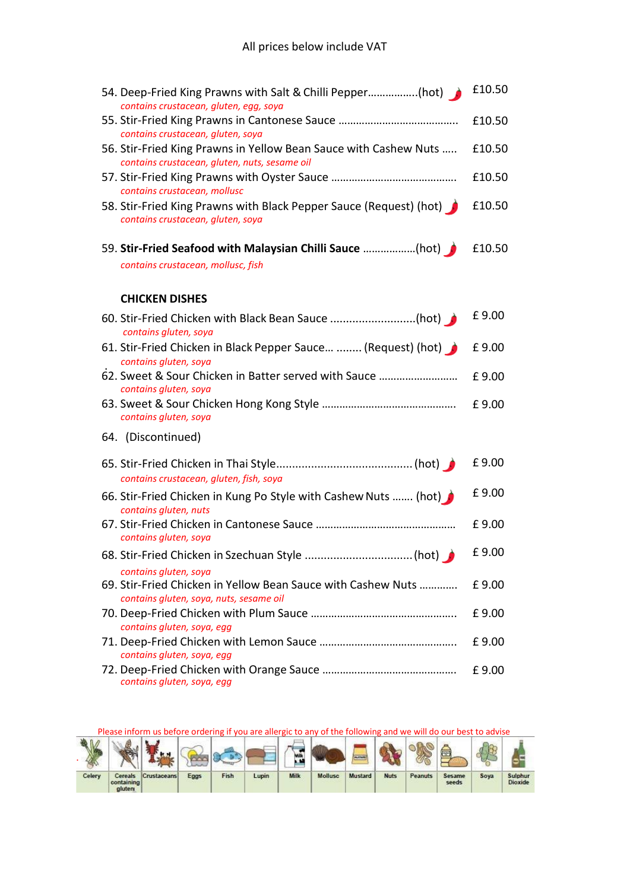| 54. Deep-Fried King Prawns with Salt & Chilli Pepper(hot)<br>contains crustacean, gluten, egg, soya                                                    | £10.50 |
|--------------------------------------------------------------------------------------------------------------------------------------------------------|--------|
|                                                                                                                                                        | £10.50 |
| contains crustacean, gluten, soya<br>56. Stir-Fried King Prawns in Yellow Bean Sauce with Cashew Nuts<br>contains crustacean, gluten, nuts, sesame oil | £10.50 |
| contains crustacean, mollusc                                                                                                                           | £10.50 |
| 58. Stir-Fried King Prawns with Black Pepper Sauce (Request) (hot)<br>contains crustacean, gluten, soya                                                | £10.50 |
| contains crustacean, mollusc, fish                                                                                                                     | £10.50 |
| <b>CHICKEN DISHES</b>                                                                                                                                  |        |
| 60. Stir-Fried Chicken with Black Bean Sauce (hot)<br>contains gluten, soya                                                                            | £9.00  |
| 61. Stir-Fried Chicken in Black Pepper Sauce  (Request) (hot)<br>contains gluten, soya                                                                 | £9.00  |
| 62. Sweet & Sour Chicken in Batter served with Sauce<br>contains gluten, soya                                                                          | £9.00  |
| contains gluten, soya                                                                                                                                  | £9.00  |
| 64. (Discontinued)                                                                                                                                     |        |
| contains crustacean, gluten, fish, soya                                                                                                                | £9.00  |
| 66. Stir-Fried Chicken in Kung Po Style with Cashew Nuts  (hot)<br>contains gluten, nuts                                                               | £9.00  |
| contains gluten, soya                                                                                                                                  | £9.00  |
|                                                                                                                                                        | £9.00  |
| contains gluten, soya<br>69. Stir-Fried Chicken in Yellow Bean Sauce with Cashew Nuts<br>contains gluten, soya, nuts, sesame oil                       | £9.00  |
|                                                                                                                                                        | £9.00  |
| contains gluten, soya, egg<br>contains gluten, soya, egg                                                                                               | £9.00  |
| contains gluten, soya, egg                                                                                                                             | £9.00  |

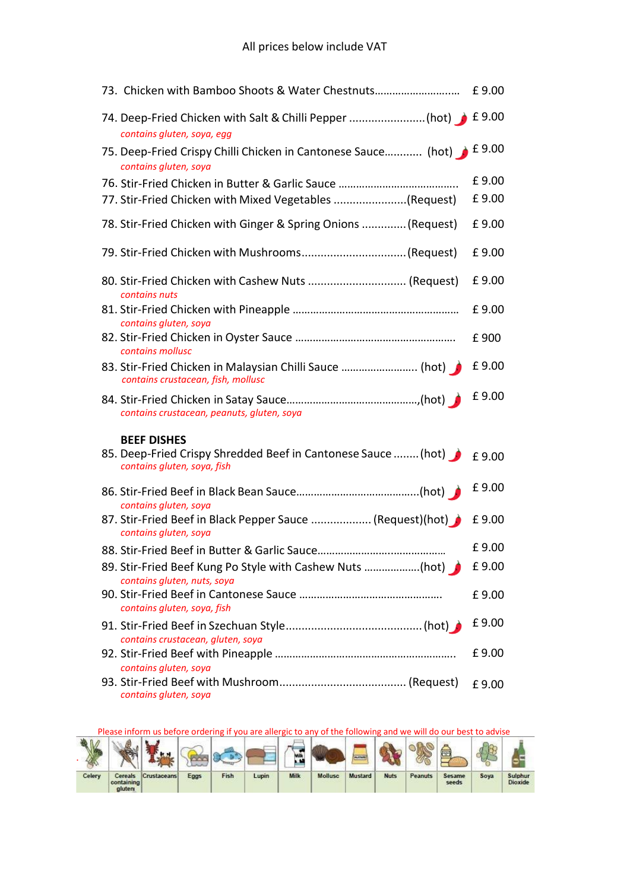| 73. Chicken with Bamboo Shoots & Water Chestnuts £ 9.00                                       |       |
|-----------------------------------------------------------------------------------------------|-------|
| 74. Deep-Fried Chicken with Salt & Chilli Pepper (hot) 1 £ 9.00<br>contains gluten, soya, egg |       |
| 75. Deep-Fried Crispy Chilli Chicken in Cantonese Sauce (hot) £ 9.00<br>contains gluten, soya |       |
|                                                                                               | £9.00 |
| 77. Stir-Fried Chicken with Mixed Vegetables (Request)                                        | £9.00 |
| 78. Stir-Fried Chicken with Ginger & Spring Onions  (Request)                                 | £9.00 |
| 79. Stir-Fried Chicken with Mushrooms(Request)                                                | £9.00 |
| 80. Stir-Fried Chicken with Cashew Nuts  (Request)<br>contains nuts                           | £9.00 |
| contains gluten, soya                                                                         | £9.00 |
| contains mollusc                                                                              | £900  |
| 83. Stir-Fried Chicken in Malaysian Chilli Sauce  (hot)<br>contains crustacean, fish, mollusc | £9.00 |
| contains crustacean, peanuts, gluten, soya                                                    | £9.00 |
| <b>BEEF DISHES</b>                                                                            |       |
| 85. Deep-Fried Crispy Shredded Beef in Cantonese Sauce  (hot)<br>contains gluten, soya, fish  | £9.00 |
| contains gluten, soya                                                                         | £9.00 |
| 87. Stir-Fried Beef in Black Pepper Sauce  (Request)(hot)<br>contains gluten, soya            | £9.00 |
|                                                                                               | £9.00 |
| contains gluten, nuts, soya                                                                   | £9.00 |
| contains gluten, soya, fish                                                                   | £9.00 |
|                                                                                               | £9.00 |
| contains crustacean, gluten, soya                                                             |       |
| contains gluten, soya                                                                         | £9.00 |

Please inform us before ordering if you are allergic to any of the following and we will do our best to advise oí E. 48 ę **RO**  $\begin{picture}(220,20) \put(0,0){\line(1,0){10}} \put(15,0){\line(1,0){10}} \put(15,0){\line(1,0){10}} \put(15,0){\line(1,0){10}} \put(15,0){\line(1,0){10}} \put(15,0){\line(1,0){10}} \put(15,0){\line(1,0){10}} \put(15,0){\line(1,0){10}} \put(15,0){\line(1,0){10}} \put(15,0){\line(1,0){10}} \put(15,0){\line(1,0){10}} \put(15,0){\line($ **ELEVATE** . Ō Cereals<br>containing<br>gluten Fish Milk Mollusc Mustard Celery Eggs Lupin Nuts Peanuts Sesame<br>seeds Soya Sulphur<br>Dioxide Crustaceans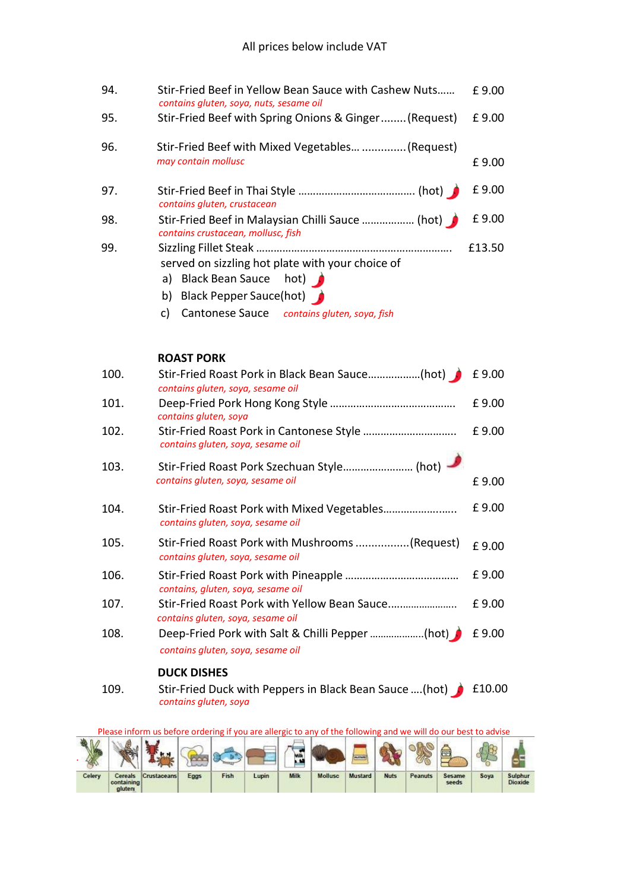| 94.  | Stir-Fried Beef in Yellow Bean Sauce with Cashew Nuts<br>contains gluten, soya, nuts, sesame oil                                                                          | £9.00  |
|------|---------------------------------------------------------------------------------------------------------------------------------------------------------------------------|--------|
| 95.  | Stir-Fried Beef with Spring Onions & Ginger (Request)                                                                                                                     | £9.00  |
| 96.  | Stir-Fried Beef with Mixed Vegetables  (Request)<br>may contain mollusc                                                                                                   | £9.00  |
| 97.  | contains gluten, crustacean                                                                                                                                               | £9.00  |
| 98.  | Stir-Fried Beef in Malaysian Chilli Sauce  (hot)<br>contains crustacean, mollusc, fish                                                                                    | £9.00  |
| 99.  | served on sizzling hot plate with your choice of<br>a) Black Bean Sauce hot)<br>b) Black Pepper Sauce(hot)<br><b>Cantonese Sauce</b><br>c)<br>contains gluten, soya, fish | £13.50 |
|      | <b>ROAST PORK</b>                                                                                                                                                         |        |
| 100. | Stir-Fried Roast Pork in Black Bean Sauce(hot)<br>contains gluten, soya, sesame oil                                                                                       | £9.00  |
| 101. | contains gluten, soya                                                                                                                                                     | £9.00  |
| 102. | contains gluten, soya, sesame oil                                                                                                                                         | £9.00  |
| 103. | contains gluten, soya, sesame oil                                                                                                                                         | £9.00  |
| 104. | Stir-Fried Roast Pork with Mixed Vegetables<br>contains gluten, soya, sesame oil                                                                                          | £9.00  |
| 105. | Stir-Fried Roast Pork with Mushrooms (Request)<br>contains gluten, soya, sesame oil                                                                                       | £9.00  |
| 106. | contains, gluten, soya, sesame oil                                                                                                                                        | £9.00  |
| 107. | Stir-Fried Roast Pork with Yellow Bean Sauce<br>contains gluten, soya, sesame oil                                                                                         | £9.00  |
| 108. | Deep-Fried Pork with Salt & Chilli Pepper (hot)<br>contains gluten, soya, sesame oil                                                                                      | £9.00  |
|      | <b>DUCK DISHES</b>                                                                                                                                                        |        |
| 109. | Stir-Fried Duck with Peppers in Black Bean Sauce  (hot)<br>contains gluten, soya                                                                                          | £10.00 |

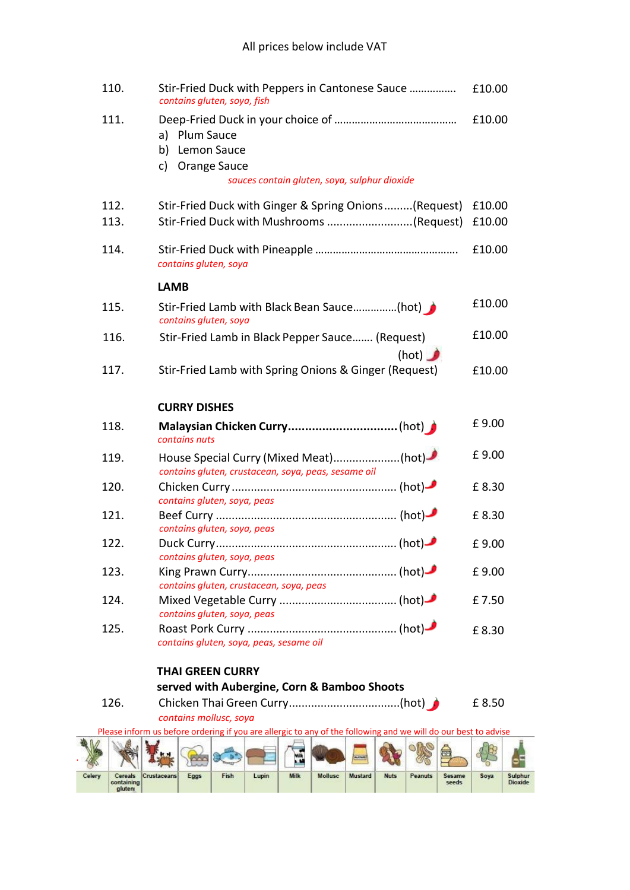## All prices below include VAT

|        | 110.                            |                                                                                                                | Stir-Fried Duck with Peppers in Cantonese Sauce<br>contains gluten, soya, fish |                             |                                         |             |                                                                                              |         |             |         |                 |        | £10.00                    |
|--------|---------------------------------|----------------------------------------------------------------------------------------------------------------|--------------------------------------------------------------------------------|-----------------------------|-----------------------------------------|-------------|----------------------------------------------------------------------------------------------|---------|-------------|---------|-----------------|--------|---------------------------|
|        | 111.                            | a) Plum Sauce<br>b) Lemon Sauce                                                                                |                                                                                |                             |                                         |             |                                                                                              |         |             |         |                 | £10.00 |                           |
|        |                                 | c)                                                                                                             |                                                                                | Orange Sauce                |                                         |             | sauces contain gluten, soya, sulphur dioxide                                                 |         |             |         |                 |        |                           |
|        | 112.                            |                                                                                                                |                                                                                |                             |                                         |             | Stir-Fried Duck with Ginger & Spring Onions(Request)                                         |         |             |         |                 | £10.00 |                           |
|        | 113.                            |                                                                                                                |                                                                                |                             |                                         |             | Stir-Fried Duck with Mushrooms (Request)                                                     |         |             |         |                 | £10.00 |                           |
|        | 114.                            |                                                                                                                |                                                                                | contains gluten, soya       |                                         |             |                                                                                              |         |             |         |                 | £10.00 |                           |
|        |                                 | <b>LAMB</b>                                                                                                    |                                                                                |                             |                                         |             |                                                                                              |         |             |         |                 |        |                           |
|        | 115.                            |                                                                                                                |                                                                                | contains gluten, soya       |                                         |             | Stir-Fried Lamb with Black Bean Sauce(hot)                                                   |         |             |         |                 | £10.00 |                           |
|        | 116.                            |                                                                                                                |                                                                                |                             |                                         |             | Stir-Fried Lamb in Black Pepper Sauce (Request)                                              |         |             | (hot)   |                 | £10.00 |                           |
|        | 117.                            |                                                                                                                |                                                                                |                             |                                         |             | Stir-Fried Lamb with Spring Onions & Ginger (Request)                                        |         |             |         |                 | £10.00 |                           |
|        |                                 |                                                                                                                | <b>CURRY DISHES</b>                                                            |                             |                                         |             |                                                                                              |         |             |         |                 |        |                           |
|        | 118.                            |                                                                                                                | contains nuts                                                                  |                             |                                         |             |                                                                                              |         |             |         |                 | £9.00  |                           |
|        | 119.                            |                                                                                                                |                                                                                |                             |                                         |             | House Special Curry (Mixed Meat)(hot)<br>contains gluten, crustacean, soya, peas, sesame oil |         |             |         |                 | £9.00  |                           |
|        | 120.                            |                                                                                                                |                                                                                | contains gluten, soya, peas |                                         |             |                                                                                              |         |             |         |                 | £8.30  |                           |
|        | 121.                            |                                                                                                                |                                                                                |                             | contains gluten, soya, peas             |             |                                                                                              |         |             |         |                 | £8.30  |                           |
|        | 122.                            |                                                                                                                |                                                                                | contains gluten, soya, peas |                                         |             |                                                                                              |         |             |         |                 | £9.00  |                           |
|        | 123.                            |                                                                                                                |                                                                                |                             | contains gluten, crustacean, soya, peas |             |                                                                                              |         |             |         |                 | £9.00  |                           |
|        | 124.                            |                                                                                                                |                                                                                |                             |                                         |             |                                                                                              |         |             |         |                 | £7.50  |                           |
|        | 125.                            |                                                                                                                |                                                                                | contains gluten, soya, peas | contains gluten, soya, peas, sesame oil |             |                                                                                              |         |             |         |                 | £8.30  |                           |
|        |                                 |                                                                                                                |                                                                                | <b>THAI GREEN CURRY</b>     |                                         |             |                                                                                              |         |             |         |                 |        |                           |
|        |                                 |                                                                                                                |                                                                                |                             |                                         |             | served with Aubergine, Corn & Bamboo Shoots                                                  |         |             |         |                 |        |                           |
|        | 126.                            |                                                                                                                |                                                                                | contains mollusc, soya      |                                         |             |                                                                                              |         |             |         |                 | £ 8.50 |                           |
|        |                                 | Please inform us before ordering if you are allergic to any of the following and we will do our best to advise |                                                                                |                             |                                         |             |                                                                                              |         |             |         |                 |        |                           |
|        |                                 |                                                                                                                |                                                                                |                             |                                         | Ailk        |                                                                                              |         |             |         |                 |        |                           |
| Celery | Cereals<br>containing<br>gluten | Crustaceans                                                                                                    | Eggs                                                                           | Fish                        | Lupin                                   | <b>Milk</b> | <b>Mollusc</b>                                                                               | Mustard | <b>Nuts</b> | Peanuts | Sesame<br>seeds | Soya   | Sulphur<br><b>Dioxide</b> |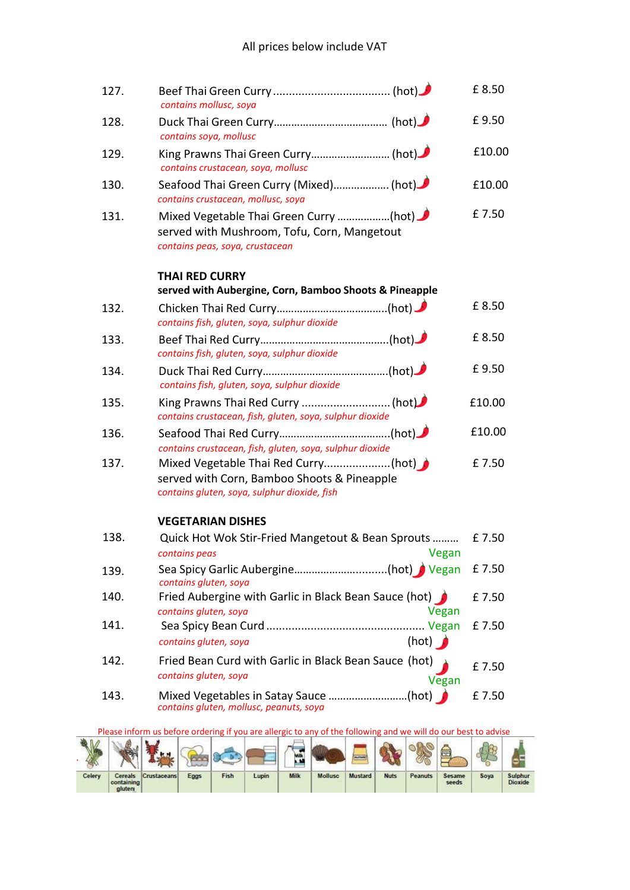| 127. | contains mollusc, soya                                                                                                   | £8.50  |
|------|--------------------------------------------------------------------------------------------------------------------------|--------|
| 128. | contains soya, mollusc                                                                                                   | £9.50  |
| 129. | King Prawns Thai Green Curry (hot)<br>contains crustacean, soya, mollusc                                                 | £10.00 |
| 130. | Seafood Thai Green Curry (Mixed) (hot)<br>contains crustacean, mollusc, soya                                             | £10.00 |
| 131. | Mixed Vegetable Thai Green Curry (hot)<br>served with Mushroom, Tofu, Corn, Mangetout<br>contains peas, soya, crustacean | £7.50  |
|      | <b>THAI RED CURRY</b><br>served with Aubergine, Corn, Bamboo Shoots & Pineapple                                          |        |
| 132. | contains fish, gluten, soya, sulphur dioxide                                                                             | £8.50  |
| 133. | contains fish, gluten, soya, sulphur dioxide                                                                             | £8.50  |
| 134. | contains fish, gluten, soya, sulphur dioxide                                                                             | £9.50  |
| 135. | King Prawns Thai Red Curry  (hot)<br>contains crustacean, fish, gluten, soya, sulphur dioxide                            | £10.00 |
| 136. | contains crustacean, fish, gluten, soya, sulphur dioxide                                                                 | £10.00 |
| 137. | served with Corn, Bamboo Shoots & Pineapple<br>contains gluten, soya, sulphur dioxide, fish                              | £7.50  |
|      | <b>VEGETARIAN DISHES</b>                                                                                                 |        |
| 138. | Quick Hot Wok Stir-Fried Mangetout & Bean Sprouts<br>Vegan<br>contains peas                                              | £7.50  |
| 139. | Sea Spicy Garlic Aubergine(hot) Vegan<br>contains gluten, soya                                                           | £7.50  |
| 140. | Fried Aubergine with Garlic in Black Bean Sauce (hot)<br>contains gluten, soya<br>Vegan                                  | £7.50  |
| 141. | (hot) $\bigcap$<br>contains gluten, soya                                                                                 | £7.50  |
| 142. | Fried Bean Curd with Garlic in Black Bean Sauce (hot)<br>contains gluten, soya<br>Vegan                                  | £7.50  |
| 143. | contains gluten, mollusc, peanuts, soya                                                                                  | £7.50  |

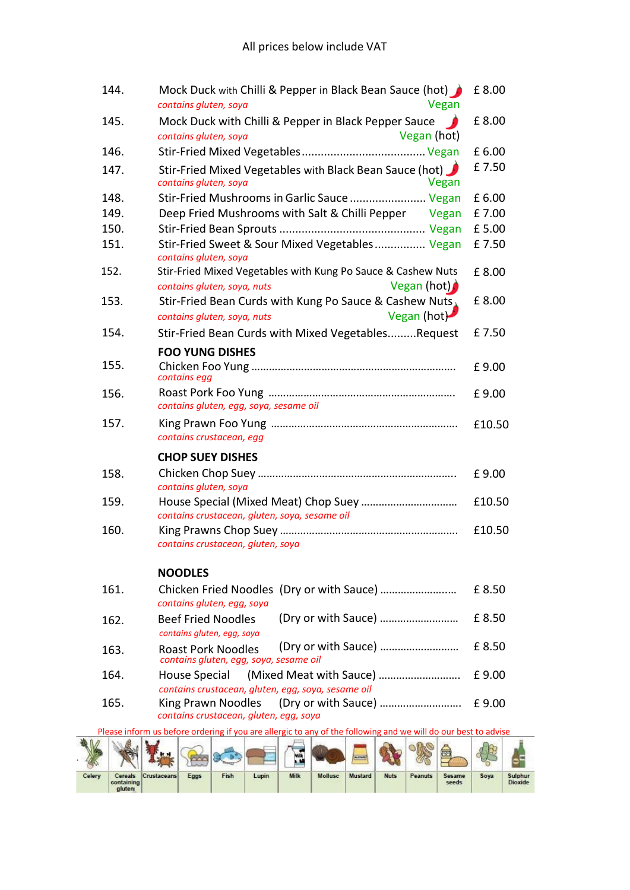| 144. | Mock Duck with Chilli & Pepper in Black Bean Sauce (hot)<br>Vegan<br>contains gluten, soya                 | £8.00  |
|------|------------------------------------------------------------------------------------------------------------|--------|
| 145. | Mock Duck with Chilli & Pepper in Black Pepper Sauce                                                       | £8.00  |
|      | Vegan (hot)<br>contains gluten, soya                                                                       |        |
| 146. |                                                                                                            | £6.00  |
| 147. | Stir-Fried Mixed Vegetables with Black Bean Sauce (hot)<br>contains gluten, soya<br>Vegan                  | £7.50  |
| 148. | Stir-Fried Mushrooms in Garlic Sauce  Vegan                                                                | £6.00  |
| 149. | Deep Fried Mushrooms with Salt & Chilli Pepper Vegan                                                       | £7.00  |
| 150. |                                                                                                            | £5.00  |
| 151. | Stir-Fried Sweet & Sour Mixed Vegetables Vegan<br>contains gluten, soya                                    | £7.50  |
| 152. | Stir-Fried Mixed Vegetables with Kung Po Sauce & Cashew Nuts<br>Vegan (hot)<br>contains gluten, soya, nuts | £8.00  |
| 153. | Stir-Fried Bean Curds with Kung Po Sauce & Cashew Nuts,<br>Vegan (hot)<br>contains gluten, soya, nuts      | £8.00  |
| 154. | Stir-Fried Bean Curds with Mixed VegetablesRequest                                                         | £7.50  |
|      | <b>FOO YUNG DISHES</b>                                                                                     |        |
| 155. | contains egg                                                                                               | £9.00  |
| 156. | contains gluten, egg, soya, sesame oil                                                                     | £9.00  |
| 157. | contains crustacean, egg                                                                                   | £10.50 |
|      | <b>CHOP SUEY DISHES</b>                                                                                    |        |
| 158. |                                                                                                            | £9.00  |
|      | contains gluten, soya                                                                                      |        |
| 159. | contains crustacean, gluten, soya, sesame oil                                                              | £10.50 |
| 160. |                                                                                                            | £10.50 |
|      | contains crustacean, gluten, soya                                                                          |        |
|      | <b>NOODLES</b>                                                                                             |        |
| 161. | contains gluten, egg, soya                                                                                 | £8.50  |
| 162. | (Dry or with Sauce)<br><b>Beef Fried Noodles</b><br>contains gluten, egg, soya                             | £8.50  |
| 163. | (Dry or with Sauce)<br><b>Roast Pork Noodles</b><br>contains gluten, egg, soya, sesame oil                 | £8.50  |
| 164. | <b>House Special</b><br>(Mixed Meat with Sauce)<br>contains crustacean, gluten, egg, soya, sesame oil      | £9.00  |
| 165. | King Prawn Noodles<br>(Dry or with Sauce)<br>contains crustacean, gluten, egg, soya                        | £9.00  |
|      | ordering if you are allergic to any of the following and we will do our best to a                          |        |

|        | Please inform us before ordering if you are allergic to any of the following and we will do our best to advise |                     |      |      |       |             |         |         |             |         |                 |      |                                  |
|--------|----------------------------------------------------------------------------------------------------------------|---------------------|------|------|-------|-------------|---------|---------|-------------|---------|-----------------|------|----------------------------------|
|        |                                                                                                                |                     |      |      |       | Wilk<br>a.V |         |         |             |         | ł ter           |      |                                  |
| Celery | containing<br>gluten                                                                                           | Cereals Crustaceans | Eggs | Fish | Lupin | <b>Milk</b> | Mollusc | Mustard | <b>Nuts</b> | Peanuts | Sesame<br>seeds | Soya | <b>Sulphur</b><br><b>Dioxide</b> |